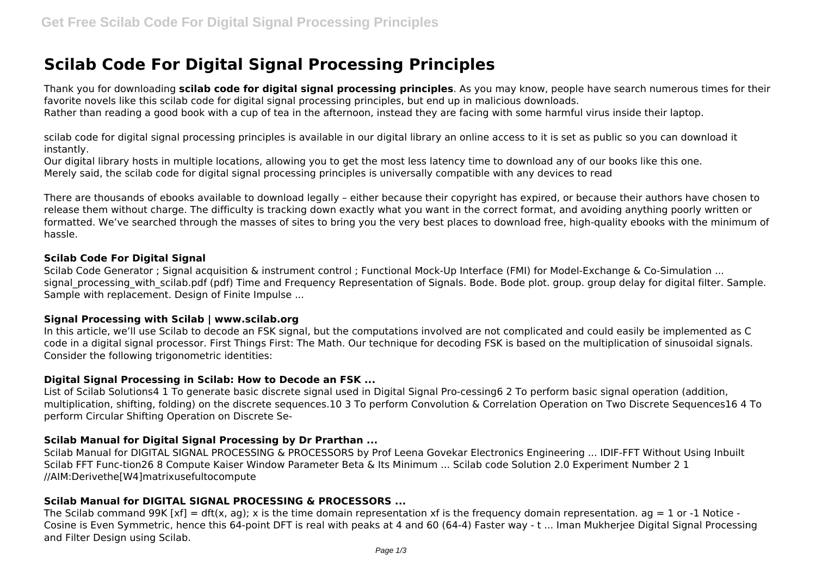# **Scilab Code For Digital Signal Processing Principles**

Thank you for downloading **scilab code for digital signal processing principles**. As you may know, people have search numerous times for their favorite novels like this scilab code for digital signal processing principles, but end up in malicious downloads.

Rather than reading a good book with a cup of tea in the afternoon, instead they are facing with some harmful virus inside their laptop.

scilab code for digital signal processing principles is available in our digital library an online access to it is set as public so you can download it instantly.

Our digital library hosts in multiple locations, allowing you to get the most less latency time to download any of our books like this one. Merely said, the scilab code for digital signal processing principles is universally compatible with any devices to read

There are thousands of ebooks available to download legally – either because their copyright has expired, or because their authors have chosen to release them without charge. The difficulty is tracking down exactly what you want in the correct format, and avoiding anything poorly written or formatted. We've searched through the masses of sites to bring you the very best places to download free, high-quality ebooks with the minimum of hassle.

# **Scilab Code For Digital Signal**

Scilab Code Generator ; Signal acquisition & instrument control ; Functional Mock-Up Interface (FMI) for Model-Exchange & Co-Simulation ... signal processing with scilab.pdf (pdf) Time and Frequency Representation of Signals. Bode. Bode plot. group. group delay for digital filter. Sample. Sample with replacement. Design of Finite Impulse ...

## **Signal Processing with Scilab | www.scilab.org**

In this article, we'll use Scilab to decode an FSK signal, but the computations involved are not complicated and could easily be implemented as C code in a digital signal processor. First Things First: The Math. Our technique for decoding FSK is based on the multiplication of sinusoidal signals. Consider the following trigonometric identities:

# **Digital Signal Processing in Scilab: How to Decode an FSK ...**

List of Scilab Solutions4 1 To generate basic discrete signal used in Digital Signal Pro-cessing6 2 To perform basic signal operation (addition, multiplication, shifting, folding) on the discrete sequences.10 3 To perform Convolution & Correlation Operation on Two Discrete Sequences16 4 To perform Circular Shifting Operation on Discrete Se-

# **Scilab Manual for Digital Signal Processing by Dr Prarthan ...**

Scilab Manual for DIGITAL SIGNAL PROCESSING & PROCESSORS by Prof Leena Govekar Electronics Engineering ... IDIF-FFT Without Using Inbuilt Scilab FFT Func-tion26 8 Compute Kaiser Window Parameter Beta & Its Minimum ... Scilab code Solution 2.0 Experiment Number 2 1 //AIM:Derivethe[W4]matrixusefultocompute

# **Scilab Manual for DIGITAL SIGNAL PROCESSING & PROCESSORS ...**

The Scilab command 99K  $[xf] = df(x, aq)$ ; x is the time domain representation xf is the frequency domain representation.  $aq = 1$  or -1 Notice -Cosine is Even Symmetric, hence this 64-point DFT is real with peaks at 4 and 60 (64-4) Faster way - t ... Iman Mukherjee Digital Signal Processing and Filter Design using Scilab.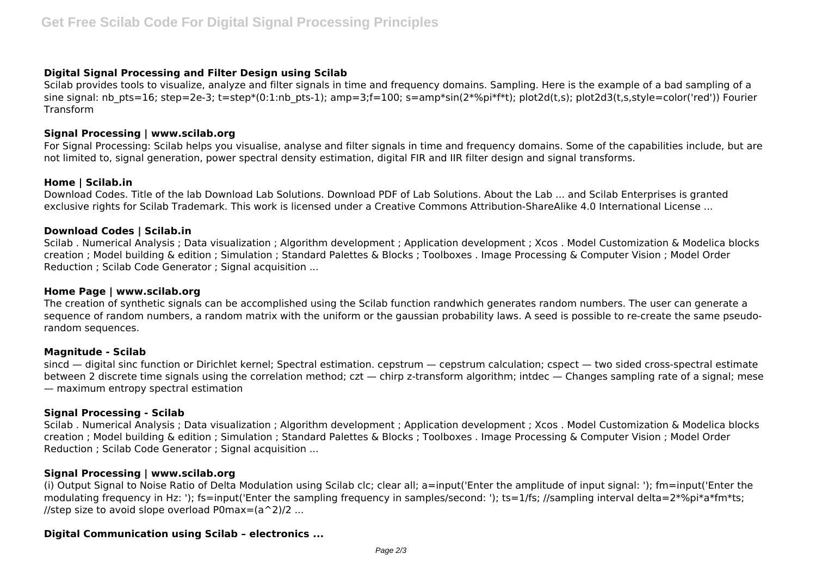# **Digital Signal Processing and Filter Design using Scilab**

Scilab provides tools to visualize, analyze and filter signals in time and frequency domains. Sampling. Here is the example of a bad sampling of a sine signal: nb pts=16; step=2e-3; t=step\*(0:1:nb pts-1); amp=3;f=100; s=amp\*sin(2\*%pi\*f\*t); plot2d(t,s); plot2d3(t,s,style=color('red')) Fourier Transform

## **Signal Processing | www.scilab.org**

For Signal Processing: Scilab helps you visualise, analyse and filter signals in time and frequency domains. Some of the capabilities include, but are not limited to, signal generation, power spectral density estimation, digital FIR and IIR filter design and signal transforms.

## **Home | Scilab.in**

Download Codes. Title of the lab Download Lab Solutions. Download PDF of Lab Solutions. About the Lab ... and Scilab Enterprises is granted exclusive rights for Scilab Trademark. This work is licensed under a Creative Commons Attribution-ShareAlike 4.0 International License ...

## **Download Codes | Scilab.in**

Scilab . Numerical Analysis ; Data visualization ; Algorithm development ; Application development ; Xcos . Model Customization & Modelica blocks creation ; Model building & edition ; Simulation ; Standard Palettes & Blocks ; Toolboxes . Image Processing & Computer Vision ; Model Order Reduction ; Scilab Code Generator ; Signal acquisition ...

#### **Home Page | www.scilab.org**

The creation of synthetic signals can be accomplished using the Scilab function randwhich generates random numbers. The user can generate a sequence of random numbers, a random matrix with the uniform or the gaussian probability laws. A seed is possible to re-create the same pseudorandom sequences.

#### **Magnitude - Scilab**

sincd — digital sinc function or Dirichlet kernel; Spectral estimation. cepstrum — cepstrum calculation; cspect — two sided cross-spectral estimate between 2 discrete time signals using the correlation method; czt — chirp z-transform algorithm; intdec — Changes sampling rate of a signal; mese — maximum entropy spectral estimation

## **Signal Processing - Scilab**

Scilab . Numerical Analysis ; Data visualization ; Algorithm development ; Application development ; Xcos . Model Customization & Modelica blocks creation ; Model building & edition ; Simulation ; Standard Palettes & Blocks ; Toolboxes . Image Processing & Computer Vision ; Model Order Reduction ; Scilab Code Generator ; Signal acquisition ...

## **Signal Processing | www.scilab.org**

(i) Output Signal to Noise Ratio of Delta Modulation using Scilab clc; clear all; a=input('Enter the amplitude of input signal: '); fm=input('Enter the modulating frequency in Hz: '); fs=input('Enter the sampling frequency in samples/second: '); ts=1/fs; //sampling interval delta=2\*%pi\*a\*fm\*ts; //step size to avoid slope overload P0max= $(a^2)/2$  ...

## **Digital Communication using Scilab – electronics ...**